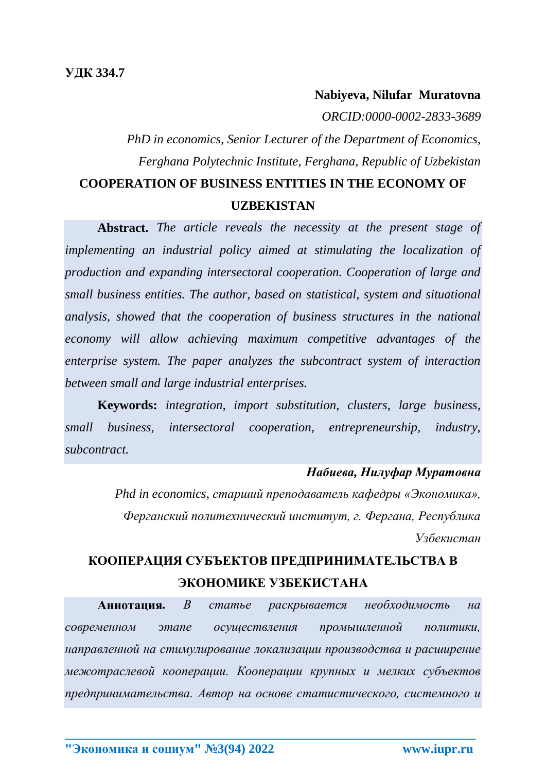### **Nabiyeva, Nilufar Muratovna**

*ORCID:0000-0002-2833-3689*

*PhD in economics, Senior Lecturer of the Department of Economics, Ferghana Polytechnic Institute, Ferghana, Republic of Uzbekistan* **COOPERATION OF BUSINESS ENTITIES IN THE ECONOMY OF** 

#### **UZBEKISTAN**

**Abstract.** *The article reveals the necessity at the present stage of implementing an industrial policy aimed at stimulating the localization of production and expanding intersectoral cooperation. Cooperation of large and small business entities. The author, based on statistical, system and situational analysis, showed that the cooperation of business structures in the national economy will allow achieving maximum competitive advantages of the enterprise system. The paper analyzes the subcontract system of interaction between small and large industrial enterprises.*

**Keywords:** *integration, import substitution, clusters, large business, small business, intersectoral cooperation, entrepreneurship, industry, subcontract.*

### *Набиева, Нилуфар Муратовна*

*Phd in economics, старший преподаватель кафедры «Экономика», Ферганский политехнический институт, г. Фергана, Республика Узбекистан*

# **КООПЕРАЦИЯ СУБЪЕКТОВ ПРЕДПРИНИМАТЕЛЬСТВА В ЭКОНОМИКЕ УЗБЕКИСТАНА**

**Аннотация***. В статье раскрывается необходимость на современном этапе осуществления промышленной политики, направленной на стимулирование локализации производства и расширение межотраслевой кооперации. Кооперации крупных и мелких субъектов предпринимательства. Автор на основе статистического, системного и*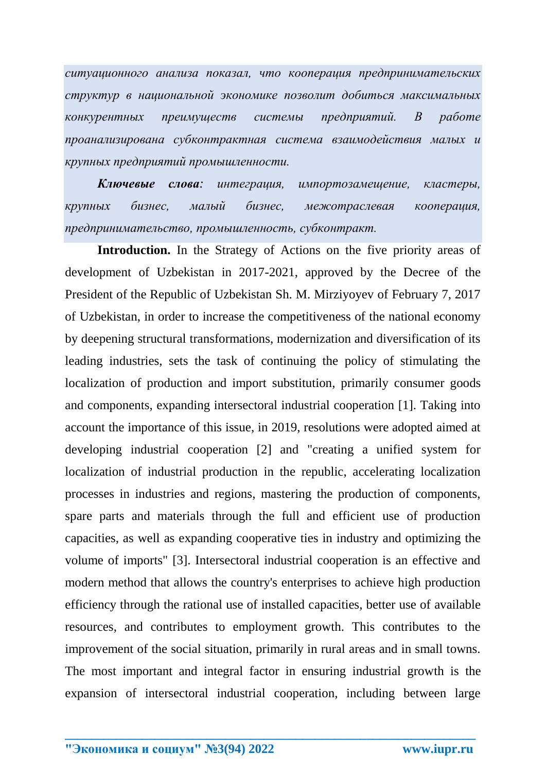*ситуационного анализа показал, что кооперация предпринимательских структур в национальной экономике позволит добиться максимальных конкурентных преимуществ системы предприятий. В работе проанализирована субконтрактная система взаимодействия малых и крупных предприятий промышленности.*

*Ключевые слова: интеграция, импортозамещение, кластеры, крупных бизнес, малый бизнес, межотраслевая кооперация, предпринимательство, промышленность, субконтракт.*

Introduction. In the Strategy of Actions on the five priority areas of development of Uzbekistan in 2017-2021, approved by the Decree of the President of the Republic of Uzbekistan Sh. M. Mirziyoyev of February 7, 2017 of Uzbekistan, in order to increase the competitiveness of the national economy by deepening structural transformations, modernization and diversification of its leading industries, sets the task of continuing the policy of stimulating the localization of production and import substitution, primarily consumer goods and components, expanding intersectoral industrial cooperation [1]. Taking into account the importance of this issue, in 2019, resolutions were adopted aimed at developing industrial cooperation [2] and "creating a unified system for localization of industrial production in the republic, accelerating localization processes in industries and regions, mastering the production of components, spare parts and materials through the full and efficient use of production capacities, as well as expanding cooperative ties in industry and optimizing the volume of imports" [3]. Intersectoral industrial cooperation is an effective and modern method that allows the country's enterprises to achieve high production efficiency through the rational use of installed capacities, better use of available resources, and contributes to employment growth. This contributes to the improvement of the social situation, primarily in rural areas and in small towns. The most important and integral factor in ensuring industrial growth is the expansion of intersectoral industrial cooperation, including between large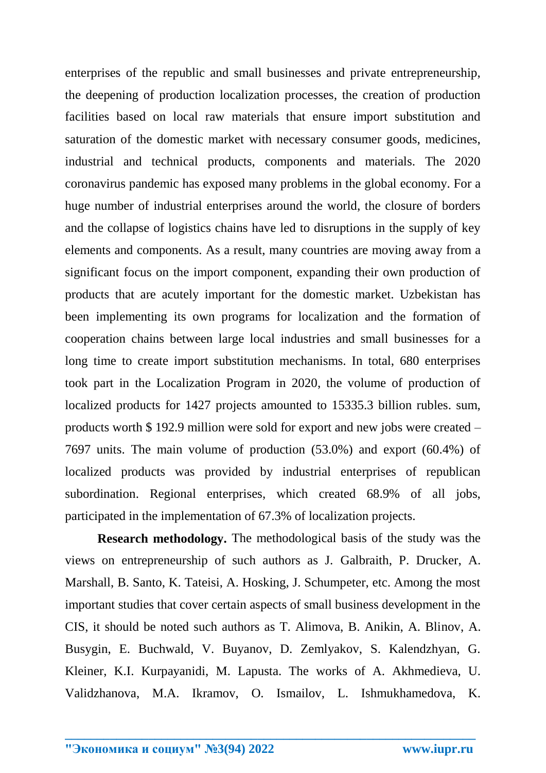enterprises of the republic and small businesses and private entrepreneurship, the deepening of production localization processes, the creation of production facilities based on local raw materials that ensure import substitution and saturation of the domestic market with necessary consumer goods, medicines, industrial and technical products, components and materials. The 2020 coronavirus pandemic has exposed many problems in the global economy. For a huge number of industrial enterprises around the world, the closure of borders and the collapse of logistics chains have led to disruptions in the supply of key elements and components. As a result, many countries are moving away from a significant focus on the import component, expanding their own production of products that are acutely important for the domestic market. Uzbekistan has been implementing its own programs for localization and the formation of cooperation chains between large local industries and small businesses for a long time to create import substitution mechanisms. In total, 680 enterprises took part in the Localization Program in 2020, the volume of production of localized products for 1427 projects amounted to 15335.3 billion rubles. sum, products worth \$ 192.9 million were sold for export and new jobs were created – 7697 units. The main volume of production (53.0%) and export (60.4%) of localized products was provided by industrial enterprises of republican subordination. Regional enterprises, which created 68.9% of all jobs, participated in the implementation of 67.3% of localization projects.

**Research methodology.** The methodological basis of the study was the views on entrepreneurship of such authors as J. Galbraith, P. Drucker, A. Marshall, B. Santo, K. Tateisi, A. Hosking, J. Schumpeter, etc. Among the most important studies that cover certain aspects of small business development in the CIS, it should be noted such authors as T. Alimova, B. Anikin, A. Blinov, A. Busygin, E. Buchwald, V. Buyanov, D. Zemlyakov, S. Kalendzhyan, G. Kleiner, K.I. Kurpayanidi, M. Lapusta. The works of A. Akhmedieva, U. Validzhanova, M.A. Ikramov, O. Ismailov, L. Ishmukhamedova, K.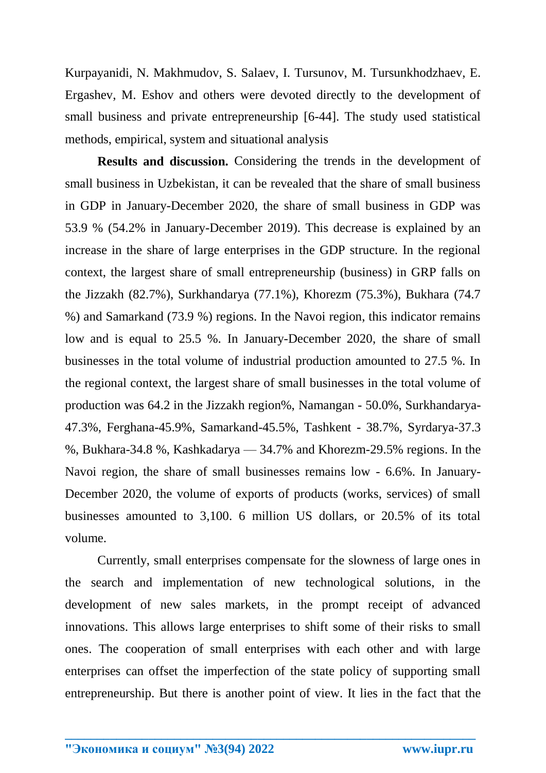Kurpayanidi, N. Makhmudov, S. Salaev, I. Tursunov, M. Tursunkhodzhaev, E. Ergashev, M. Eshov and others were devoted directly to the development of small business and private entrepreneurship [6-44]. The study used statistical methods, empirical, system and situational analysis

**Results and discussion.** Considering the trends in the development of small business in Uzbekistan, it can be revealed that the share of small business in GDP in January-December 2020, the share of small business in GDP was 53.9 % (54.2% in January-December 2019). This decrease is explained by an increase in the share of large enterprises in the GDP structure. In the regional context, the largest share of small entrepreneurship (business) in GRP falls on the Jizzakh (82.7%), Surkhandarya (77.1%), Khorezm (75.3%), Bukhara (74.7 %) and Samarkand (73.9 %) regions. In the Navoi region, this indicator remains low and is equal to 25.5 %. In January-December 2020, the share of small businesses in the total volume of industrial production amounted to 27.5 %. In the regional context, the largest share of small businesses in the total volume of production was 64.2 in the Jizzakh region%, Namangan - 50.0%, Surkhandarya-47.3%, Ferghana-45.9%, Samarkand-45.5%, Tashkent - 38.7%, Syrdarya-37.3 %, Bukhara-34.8 %, Kashkadarya — 34.7% and Khorezm-29.5% regions. In the Navoi region, the share of small businesses remains low - 6.6%. In January-December 2020, the volume of exports of products (works, services) of small businesses amounted to 3,100. 6 million US dollars, or 20.5% of its total volume.

Currently, small enterprises compensate for the slowness of large ones in the search and implementation of new technological solutions, in the development of new sales markets, in the prompt receipt of advanced innovations. This allows large enterprises to shift some of their risks to small ones. The cooperation of small enterprises with each other and with large enterprises can offset the imperfection of the state policy of supporting small entrepreneurship. But there is another point of view. It lies in the fact that the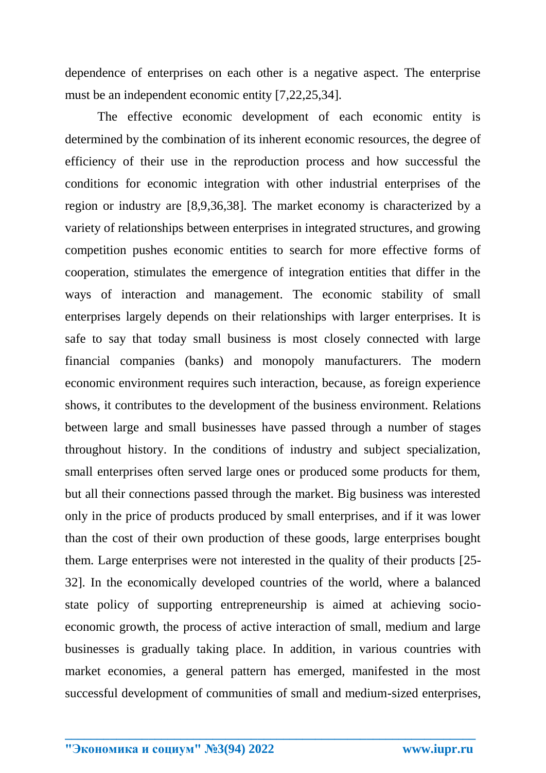dependence of enterprises on each other is a negative aspect. The enterprise must be an independent economic entity [7,22,25,34].

The effective economic development of each economic entity is determined by the combination of its inherent economic resources, the degree of efficiency of their use in the reproduction process and how successful the conditions for economic integration with other industrial enterprises of the region or industry are [8,9,36,38]. The market economy is characterized by a variety of relationships between enterprises in integrated structures, and growing competition pushes economic entities to search for more effective forms of cooperation, stimulates the emergence of integration entities that differ in the ways of interaction and management. The economic stability of small enterprises largely depends on their relationships with larger enterprises. It is safe to say that today small business is most closely connected with large financial companies (banks) and monopoly manufacturers. The modern economic environment requires such interaction, because, as foreign experience shows, it contributes to the development of the business environment. Relations between large and small businesses have passed through a number of stages throughout history. In the conditions of industry and subject specialization, small enterprises often served large ones or produced some products for them, but all their connections passed through the market. Big business was interested only in the price of products produced by small enterprises, and if it was lower than the cost of their own production of these goods, large enterprises bought them. Large enterprises were not interested in the quality of their products [25- 32]. In the economically developed countries of the world, where a balanced state policy of supporting entrepreneurship is aimed at achieving socioeconomic growth, the process of active interaction of small, medium and large businesses is gradually taking place. In addition, in various countries with market economies, a general pattern has emerged, manifested in the most successful development of communities of small and medium-sized enterprises,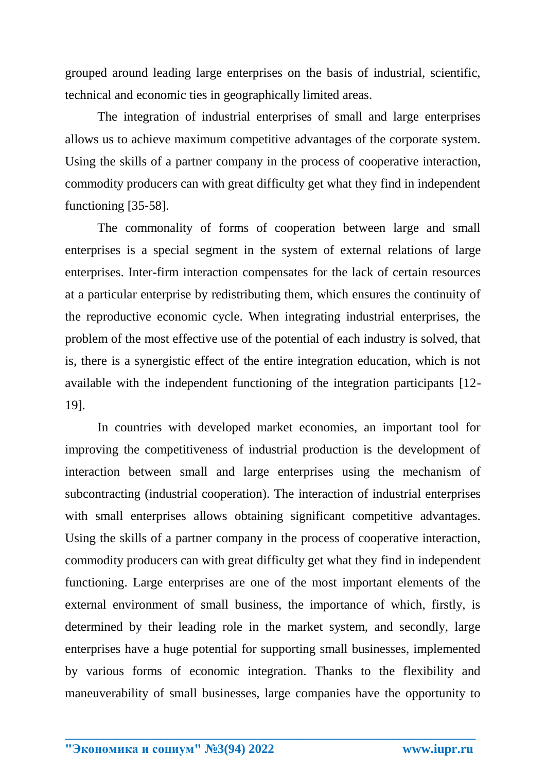grouped around leading large enterprises on the basis of industrial, scientific, technical and economic ties in geographically limited areas.

The integration of industrial enterprises of small and large enterprises allows us to achieve maximum competitive advantages of the corporate system. Using the skills of a partner company in the process of cooperative interaction, commodity producers can with great difficulty get what they find in independent functioning [35-58].

The commonality of forms of cooperation between large and small enterprises is a special segment in the system of external relations of large enterprises. Inter-firm interaction compensates for the lack of certain resources at a particular enterprise by redistributing them, which ensures the continuity of the reproductive economic cycle. When integrating industrial enterprises, the problem of the most effective use of the potential of each industry is solved, that is, there is a synergistic effect of the entire integration education, which is not available with the independent functioning of the integration participants [12- 19].

In countries with developed market economies, an important tool for improving the competitiveness of industrial production is the development of interaction between small and large enterprises using the mechanism of subcontracting (industrial cooperation). The interaction of industrial enterprises with small enterprises allows obtaining significant competitive advantages. Using the skills of a partner company in the process of cooperative interaction, commodity producers can with great difficulty get what they find in independent functioning. Large enterprises are one of the most important elements of the external environment of small business, the importance of which, firstly, is determined by their leading role in the market system, and secondly, large enterprises have a huge potential for supporting small businesses, implemented by various forms of economic integration. Thanks to the flexibility and maneuverability of small businesses, large companies have the opportunity to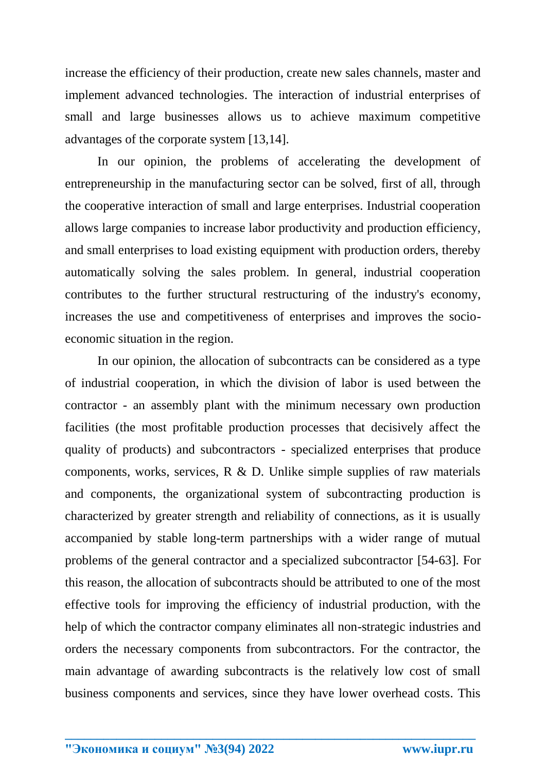increase the efficiency of their production, create new sales channels, master and implement advanced technologies. The interaction of industrial enterprises of small and large businesses allows us to achieve maximum competitive advantages of the corporate system [13,14].

In our opinion, the problems of accelerating the development of entrepreneurship in the manufacturing sector can be solved, first of all, through the cooperative interaction of small and large enterprises. Industrial cooperation allows large companies to increase labor productivity and production efficiency, and small enterprises to load existing equipment with production orders, thereby automatically solving the sales problem. In general, industrial cooperation contributes to the further structural restructuring of the industry's economy, increases the use and competitiveness of enterprises and improves the socioeconomic situation in the region.

In our opinion, the allocation of subcontracts can be considered as a type of industrial cooperation, in which the division of labor is used between the contractor - an assembly plant with the minimum necessary own production facilities (the most profitable production processes that decisively affect the quality of products) and subcontractors - specialized enterprises that produce components, works, services, R & D. Unlike simple supplies of raw materials and components, the organizational system of subcontracting production is characterized by greater strength and reliability of connections, as it is usually accompanied by stable long-term partnerships with a wider range of mutual problems of the general contractor and a specialized subcontractor [54-63]. For this reason, the allocation of subcontracts should be attributed to one of the most effective tools for improving the efficiency of industrial production, with the help of which the contractor company eliminates all non-strategic industries and orders the necessary components from subcontractors. For the contractor, the main advantage of awarding subcontracts is the relatively low cost of small business components and services, since they have lower overhead costs. This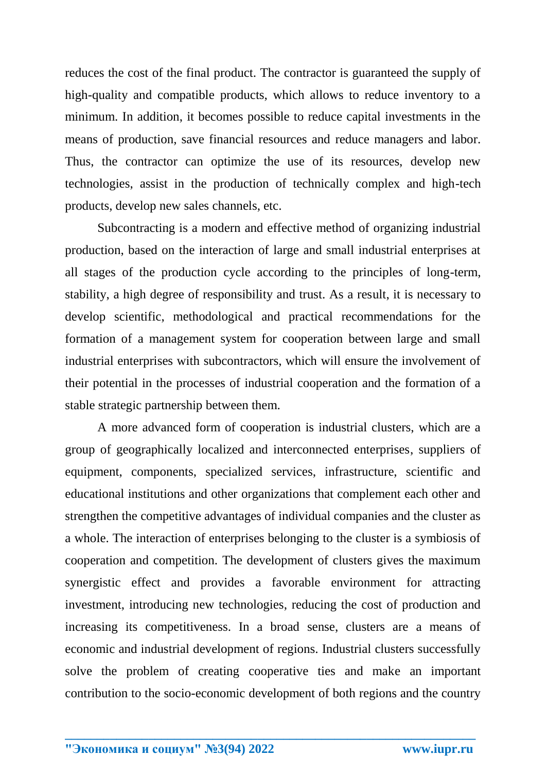reduces the cost of the final product. The contractor is guaranteed the supply of high-quality and compatible products, which allows to reduce inventory to a minimum. In addition, it becomes possible to reduce capital investments in the means of production, save financial resources and reduce managers and labor. Thus, the contractor can optimize the use of its resources, develop new technologies, assist in the production of technically complex and high-tech products, develop new sales channels, etc.

Subcontracting is a modern and effective method of organizing industrial production, based on the interaction of large and small industrial enterprises at all stages of the production cycle according to the principles of long-term, stability, a high degree of responsibility and trust. As a result, it is necessary to develop scientific, methodological and practical recommendations for the formation of a management system for cooperation between large and small industrial enterprises with subcontractors, which will ensure the involvement of their potential in the processes of industrial cooperation and the formation of a stable strategic partnership between them.

A more advanced form of cooperation is industrial clusters, which are a group of geographically localized and interconnected enterprises, suppliers of equipment, components, specialized services, infrastructure, scientific and educational institutions and other organizations that complement each other and strengthen the competitive advantages of individual companies and the cluster as a whole. The interaction of enterprises belonging to the cluster is a symbiosis of cooperation and competition. The development of clusters gives the maximum synergistic effect and provides a favorable environment for attracting investment, introducing new technologies, reducing the cost of production and increasing its competitiveness. In a broad sense, clusters are a means of economic and industrial development of regions. Industrial clusters successfully solve the problem of creating cooperative ties and make an important contribution to the socio-economic development of both regions and the country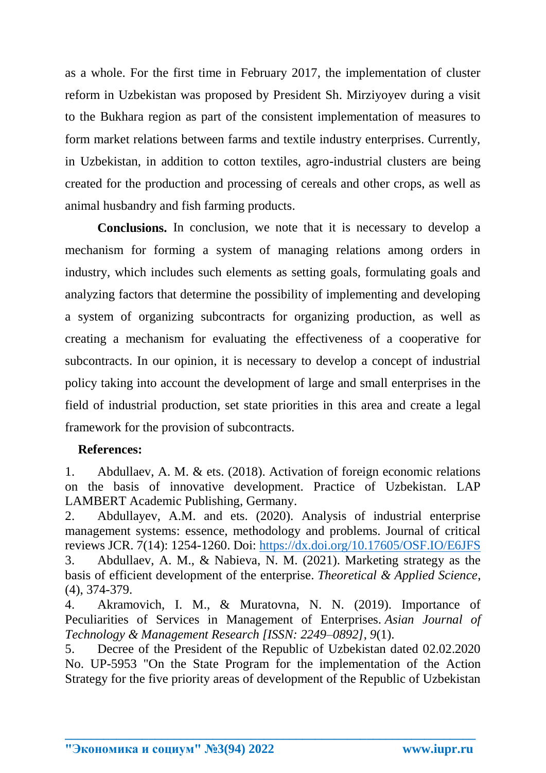as a whole. For the first time in February 2017, the implementation of cluster reform in Uzbekistan was proposed by President Sh. Mirziyoyev during a visit to the Bukhara region as part of the consistent implementation of measures to form market relations between farms and textile industry enterprises. Currently, in Uzbekistan, in addition to cotton textiles, agro-industrial clusters are being created for the production and processing of cereals and other crops, as well as animal husbandry and fish farming products.

**Conclusions.** In conclusion, we note that it is necessary to develop a mechanism for forming a system of managing relations among orders in industry, which includes such elements as setting goals, formulating goals and analyzing factors that determine the possibility of implementing and developing a system of organizing subcontracts for organizing production, as well as creating a mechanism for evaluating the effectiveness of a cooperative for subcontracts. In our opinion, it is necessary to develop a concept of industrial policy taking into account the development of large and small enterprises in the field of industrial production, set state priorities in this area and create a legal framework for the provision of subcontracts.

## **References:**

1. Abdullaev, A. M. & ets. (2018). Activation of foreign economic relations on the basis of innovative development. Practice of Uzbekistan. LAP LAMBERT Academic Publishing, Germany.

2. Abdullayev, A.M. and ets. (2020). Analysis of industrial enterprise management systems: essence, methodology and problems. Journal of critical reviews JCR. 7(14): 1254-1260. Doi:<https://dx.doi.org/10.17605/OSF.IO/E6JFS> 3. Abdullaev, A. M., & Nabieva, N. M. (2021). Marketing strategy as the basis of efficient development of the enterprise. *Theoretical & Applied Science*, (4), 374-379.

4. Akramovich, I. M., & Muratovna, N. N. (2019). Importance of Peculiarities of Services in Management of Enterprises. *Asian Journal of Technology & Management Research [ISSN: 2249–0892]*, *9*(1).

5. Decree of the President of the Republic of Uzbekistan dated 02.02.2020 No. UP-5953 "On the State Program for the implementation of the Action Strategy for the five priority areas of development of the Republic of Uzbekistan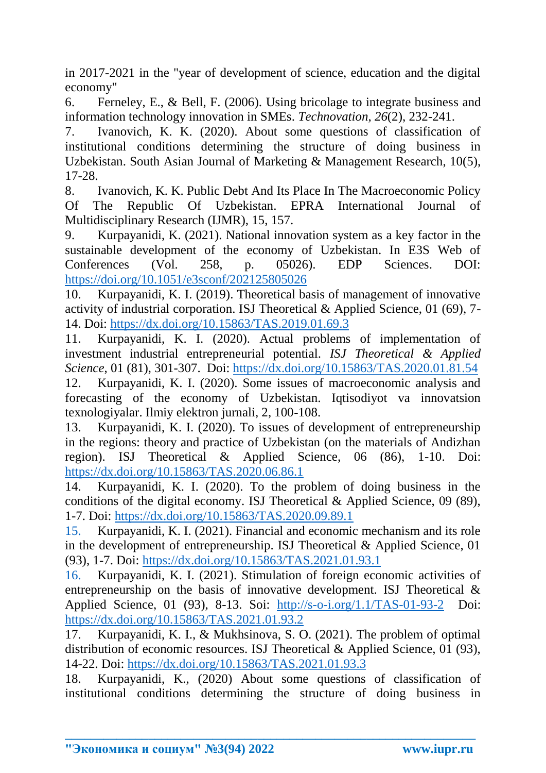in 2017-2021 in the "year of development of science, education and the digital economy"

6. Ferneley, E., & Bell, F. (2006). Using bricolage to integrate business and information technology innovation in SMEs. *Technovation*, *26*(2), 232-241.

7. Ivanovich, K. K. (2020). About some questions of classification of institutional conditions determining the structure of doing business in Uzbekistan. South Asian Journal of Marketing & Management Research, 10(5), 17-28.

8. Ivanovich, K. K. Public Debt And Its Place In The Macroeconomic Policy Of The Republic Of Uzbekistan. EPRA International Journal of Multidisciplinary Research (IJMR), 15, 157.

9. Kurpayanidi, K. (2021). National innovation system as a key factor in the sustainable development of the economy of Uzbekistan. In E3S Web of Conferences (Vol. 258, p. 05026). EDP Sciences. DOI: <https://doi.org/10.1051/e3sconf/202125805026>

10. Kurpayanidi, K. I. (2019). Theoretical basis of management of innovative activity of industrial corporation. ISJ Theoretical & Applied Science, 01 (69), 7- 14. Doi:<https://dx.doi.org/10.15863/TAS.2019.01.69.3>

11. Kurpayanidi, K. I. (2020). Actual problems of implementation of investment industrial entrepreneurial potential. *ISJ Theoretical & Applied Science*, 01 (81), 301-307. Doi:<https://dx.doi.org/10.15863/TAS.2020.01.81.54> 12. Kurpayanidi, K. I. (2020). Some issues of macroeconomic analysis and forecasting of the economy of Uzbekistan. Iqtisodiyot va innovatsion texnologiyalar. Ilmiy elektron jurnali, 2, 100-108.

13. Kurpayanidi, K. I. (2020). To issues of development of entrepreneurship in the regions: theory and practice of Uzbekistan (on the materials of Andizhan region). ISJ Theoretical & Applied Science, 06 (86), 1-10. Doi: <https://dx.doi.org/10.15863/TAS.2020.06.86.1>

14. Kurpayanidi, K. I. (2020). To the problem of doing business in the conditions of the digital economy. ISJ Theoretical & Applied Science, 09 (89), 1-7. Doi:<https://dx.doi.org/10.15863/TAS.2020.09.89.1>

15. Kurpayanidi, K. I. (2021). Financial and economic mechanism and its role in the development of entrepreneurship. ISJ Theoretical & Applied Science, 01 (93), 1-7. Doi:<https://dx.doi.org/10.15863/TAS.2021.01.93.1>

16. Kurpayanidi, K. I. (2021). Stimulation of foreign economic activities of entrepreneurship on the basis of innovative development. ISJ Theoretical & Applied Science, 01 (93), 8-13. Soi: <http://s-o-i.org/1.1/TAS-01-93-2>Doi: <https://dx.doi.org/10.15863/TAS.2021.01.93.2>

17. Kurpayanidi, K. I., & Mukhsinova, S. O. (2021). The problem of optimal distribution of economic resources. ISJ Theoretical & Applied Science, 01 (93), 14-22. Doi:<https://dx.doi.org/10.15863/TAS.2021.01.93.3>

18. Kurpayanidi, K., (2020) About some questions of classification of institutional conditions determining the structure of doing business in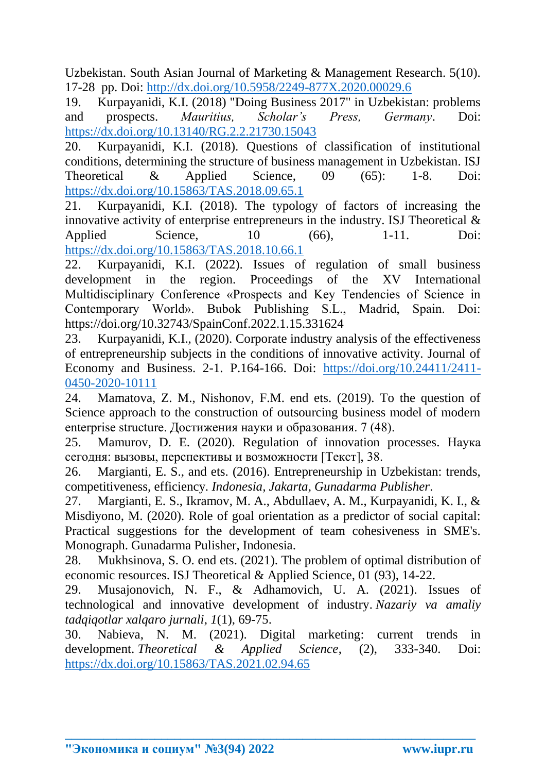Uzbekistan. South Asian Journal of Marketing & Management Research. 5(10). 17-28 pp. Doi:<http://dx.doi.org/10.5958/2249-877X.2020.00029.6>

19. Kurpayanidi, K.I. (2018) "Doing Business 2017" in Uzbekistan: problems and prospects. *Mauritius, Scholar's Press, Germany*. Doi: <https://dx.doi.org/10.13140/RG.2.2.21730.15043>

20. Kurpayanidi, K.I. (2018). Questions of classification of institutional conditions, determining the structure of business management in Uzbekistan. ISJ Theoretical & Applied Science, 09 (65): 1-8. Doi: <https://dx.doi.org/10.15863/TAS.2018.09.65.1>

21. Kurpayanidi, K.I. (2018). The typology of factors of increasing the innovative activity of enterprise entrepreneurs in the industry. ISJ Theoretical & Applied Science, 10 (66), 1-11. Doi: <https://dx.doi.org/10.15863/TAS.2018.10.66.1>

22. Kurpayanidi, K.I. (2022). Issues of regulation of small business development in the region. Proceedings of the XV International Multidisciplinary Conference «Prospects and Key Tendencies of Science in Contemporary World». Bubok Publishing S.L., Madrid, Spain. Doi: https://doi.org/10.32743/SpainConf.2022.1.15.331624

23. Kurpayanidi, K.I., (2020). Corporate industry analysis of the effectiveness of entrepreneurship subjects in the conditions of innovative activity. Journal of Economy and Business. 2-1. P.164-166. Doi: [https://doi.org/10.24411/2411-](https://doi.org/10.24411/2411-0450-2020-10111) [0450-2020-10111](https://doi.org/10.24411/2411-0450-2020-10111)

24. Mamatova, Z. M., Nishonov, F.M. end ets. (2019). To the question of Science approach to the construction of outsourcing business model of modern enterprise structure. Достижения науки и образования. 7 (48).

25. Mamurov, D. E. (2020). Regulation of innovation processes. Наука сегодня: вызовы, перспективы и возможности [Текст], 38.

26. Margianti, E. S., and ets. (2016). Entrepreneurship in Uzbekistan: trends, competitiveness, efficiency. *Indonesia, Jakarta, Gunadarma Publisher*.

27. Margianti, E. S., Ikramov, M. A., Abdullaev, A. M., Kurpayanidi, K. I., & Misdiyono, M. (2020). Role of goal orientation as a predictor of social capital: Practical suggestions for the development of team cohesiveness in SME's. Monograph. Gunadarma Pulisher, Indonesia.

28. Mukhsinova, S. O. end ets. (2021). The problem of optimal distribution of economic resources. ISJ Theoretical & Applied Science, 01 (93), 14-22.

29. Musajonovich, N. F., & Adhamovich, U. A. (2021). Issues of technological and innovative development of industry. *Nazariy va amaliy tadqiqotlar xalqaro jurnali*, *1*(1), 69-75.

30. Nabieva, N. M. (2021). Digital marketing: current trends in development. *Theoretical & Applied Science*, (2), 333-340. Doi: <https://dx.doi.org/10.15863/TAS.2021.02.94.65>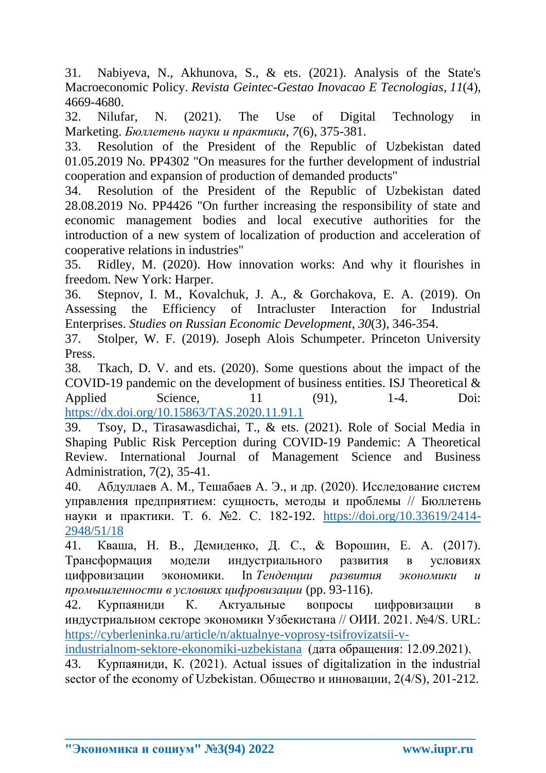31. Nabiyeva, N., Akhunova, S., & ets. (2021). Analysis of the State's Macroeconomic Policy. *Revista Geintec-Gestao Inovacao E Tecnologias*, *11*(4), 4669-4680.

32. Nilufar, N. (2021). The Use of Digital Technology in Marketing. *Бюллетень науки и практики*, *7*(6), 375-381.

33. Resolution of the President of the Republic of Uzbekistan dated 01.05.2019 No. PP4302 "On measures for the further development of industrial cooperation and expansion of production of demanded products"

34. Resolution of the President of the Republic of Uzbekistan dated 28.08.2019 No. PP4426 "On further increasing the responsibility of state and economic management bodies and local executive authorities for the introduction of a new system of localization of production and acceleration of cooperative relations in industries"

35. Ridley, M. (2020). How innovation works: And why it flourishes in freedom. New York: Harper.

36. Stepnov, I. M., Kovalchuk, J. A., & Gorchakova, E. A. (2019). On Assessing the Efficiency of Intracluster Interaction for Industrial Enterprises. *Studies on Russian Economic Development*, *30*(3), 346-354.

37. Stolper, W. F. (2019). Joseph Alois Schumpeter. Princeton University Press.

38. Tkach, D. V. and ets. (2020). Some questions about the impact of the COVID-19 pandemic on the development of business entities. ISJ Theoretical & Applied Science, 11 (91), 1-4. Doi: <https://dx.doi.org/10.15863/TAS.2020.11.91.1>

39. Tsoy, D., Tirasawasdichai, T., & ets. (2021). Role of Social Media in Shaping Public Risk Perception during COVID-19 Pandemic: A Theoretical Review. International Journal of Management Science and Business Administration, 7(2), 35-41.

40. Абдуллаев А. М., Тешабаев А. Э., и др. (2020). Исследование систем управления предприятием: сущность, методы и проблемы // Бюллетень науки и практики. Т. 6. №2. С. 182-192. [https://doi.org/10.33619/2414-](https://doi.org/10.33619/2414-2948/51/18) [2948/51/18](https://doi.org/10.33619/2414-2948/51/18)

41. Кваша, Н. В., Демиденко, Д. С., & Ворошин, Е. А. (2017). Трансформация модели индустриального развития в условиях цифровизации экономики. In *Тенденции развития экономики и промышленности в условиях цифровизации* (pp. 93-116).

42. Курпаяниди К. Актуальные вопросы цифровизации в индустриальном секторе экономики Узбекистана // ОИИ. 2021. №4/S. URL: [https://cyberleninka.ru/article/n/aktualnye-voprosy-tsifrovizatsii-v-](https://cyberleninka.ru/article/n/aktualnye-voprosy-tsifrovizatsii-v-industrialnom-sektore-ekonomiki-uzbekistana)

[industrialnom-sektore-ekonomiki-uzbekistana](https://cyberleninka.ru/article/n/aktualnye-voprosy-tsifrovizatsii-v-industrialnom-sektore-ekonomiki-uzbekistana) (дата обращения: 12.09.2021).

43. Курпаяниди, К. (2021). Actual issues of digitalization in the industrial sector of the economy of Uzbekistan. Общество и инновации, 2(4/S), 201-212.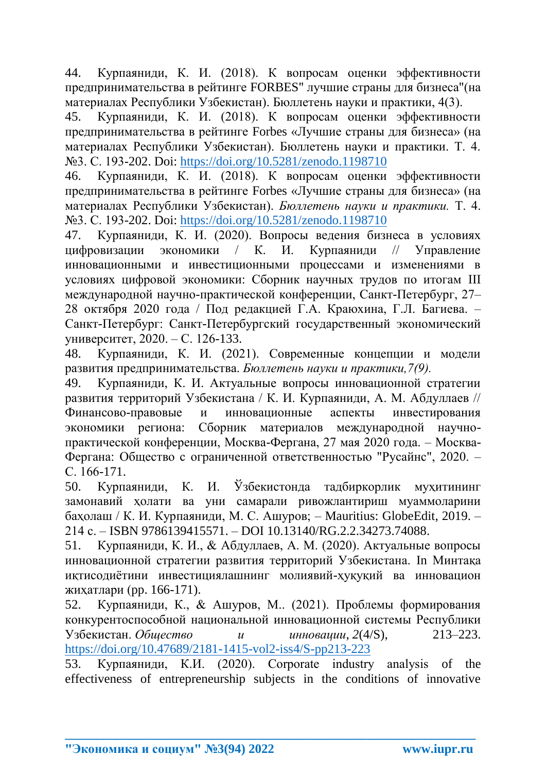44. Курпаяниди, К. И. (2018). К вопросам оценки эффективности предпринимательства в рейтинге FORBES" лучшие страны для бизнеса"(на материалах Республики Узбекистан). Бюллетень науки и практики, 4(3).

45. Курпаяниди, К. И. (2018). К вопросам оценки эффективности предпринимательства в рейтинге Forbes «Лучшие страны для бизнеса» (на материалах Республики Узбекистан). Бюллетень науки и практики. Т. 4. №3. С. 193-202. Doi:<https://doi.org/10.5281/zenodo.1198710>

46. Курпаяниди, К. И. (2018). К вопросам оценки эффективности предпринимательства в рейтинге Forbes «Лучшие страны для бизнеса» (на материалах Республики Узбекистан). *Бюллетень науки и практики.* Т. 4. №3. С. 193-202. Doi:<https://doi.org/10.5281/zenodo.1198710>

47. Курпаяниди, К. И. (2020). Вопросы ведения бизнеса в условиях цифровизации экономики / К. И. Курпаяниди // Управление инновационными и инвестиционными процессами и изменениями в условиях цифровой экономики: Сборник научных трудов по итогам III международной научно-практической конференции, Санкт-Петербург, 27– 28 октября 2020 года / Под редакцией Г.А. Краюхина, Г.Л. Багиева. – Санкт-Петербург: Санкт-Петербургский государственный экономический университет, 2020. – С. 126-133.

48. Курпаяниди, К. И. (2021). Современные концепции и модели развития предпринимательства. *Бюллетень науки и практики,7(9).*

49. Курпаяниди, К. И. Актуальные вопросы инновационной стратегии развития территорий Узбекистана / К. И. Курпаяниди, А. М. Абдуллаев // Финансово-правовые и инновационные аспекты инвестирования экономики региона: Сборник материалов международной научнопрактической конференции, Москва-Фергана, 27 мая 2020 года. – Москва-Фергана: Общество с ограниченной ответственностью "Русайнс", 2020. – С. 166-171.

50. Курпаяниди, К. И. Ўзбекистонда тадбиркорлик муҳитининг замонавий ҳолати ва уни самарали ривожлантириш муаммоларини баҳолаш / К. И. Курпаяниди, М. С. Ашуров; – Mauritius: GlobeEdit, 2019. – 214 с. – ISBN 9786139415571. – DOI 10.13140/RG.2.2.34273.74088.

51. Курпаяниди, К. И., & Абдуллаев, А. М. (2020). Актуальные вопросы инновационной стратегии развития территорий Узбекистана. In Минтақа иқтисодиётини инвестициялашнинг молиявий-ҳуқуқий ва инновацион жиҳатлари (pp. 166-171).

52. Курпаяниди, К., & Ашуров, М.. (2021). Проблемы формирования конкурентоспособной национальной инновационной системы Республики Узбекистан. *Общество и инновации*, *2*(4/S), 213–223. <https://doi.org/10.47689/2181-1415-vol2-iss4/S-pp213-223>

53. Курпаяниди, К.И. (2020). Corporate industry analysis of the effectiveness of entrepreneurship subjects in the conditions of innovative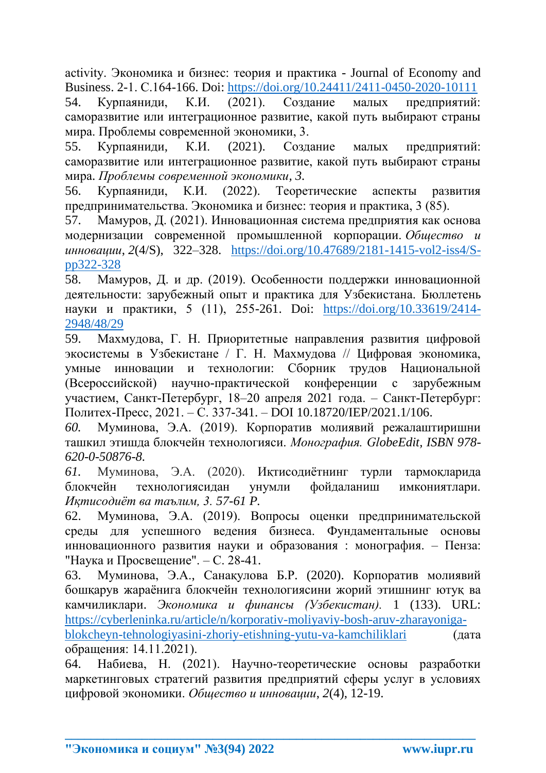activity. Экономика и бизнес: теория и практика - Journal of Economy and Business. 2-1. С.164-166. Doi:<https://doi.org/10.24411/2411-0450-2020-10111>

54. Курпаяниди, К.И. (2021). Создание малых предприятий: саморазвитие или интеграционное развитие, какой путь выбирают страны мира. Проблемы современной экономики, 3.

55. Курпаяниди, К.И. (2021). Создание малых предприятий: саморазвитие или интеграционное развитие, какой путь выбирают страны мира. *Проблемы современной экономики, 3.*

56. Курпаяниди, К.И. (2022). Теоретические аспекты развития предпринимательства. Экономика и бизнес: теория и практика, 3 (85).

57. Мамуров, Д. (2021). Инновационная система предприятия как основа модернизации современной промышленной корпорации. *Общество и инновации*, *2*(4/S), 322–328. [https://doi.org/10.47689/2181-1415-vol2-iss4/S](https://doi.org/10.47689/2181-1415-vol2-iss4/S-pp322-328)[pp322-328](https://doi.org/10.47689/2181-1415-vol2-iss4/S-pp322-328)

58. Мамуров, Д. и др. (2019). Особенности поддержки инновационной деятельности: зарубежный опыт и практика для Узбекистана. Бюллетень науки и практики, 5 (11), 255-261. Doi: [https://doi.org/10.33619/2414-](https://doi.org/10.33619/2414-2948/48/29) [2948/48/29](https://doi.org/10.33619/2414-2948/48/29)

59. Махмудова, Г. Н. Приоритетные направления развития цифровой экосистемы в Узбекистане / Г. Н. Махмудова // Цифровая экономика, умные инновации и технологии: Сборник трудов Национальной (Всероссийской) научно-практической конференции с зарубежным участием, Санкт-Петербург, 18–20 апреля 2021 года. – Санкт-Петербург: Политех-Пресс, 2021. – С. 337-341. – DOI 10.18720/IEP/2021.1/106.

*60.* Муминова, Э.А. (2019). Корпоратив молиявий режалаштиришни ташкил этишда блокчейн технологияси. *Монография. GlobeEdit, ISBN 978- 620-0-50876-8.*

*61.* Муминова, Э.А. (2020). Иқтисодиётнинг турли тармоқларида блокчейн технологиясидан унумли фойдаланиш имкониятлари. *Иқтисодиёт ва таълим, 3. 57-61 P.*

62. Муминова, Э.А. (2019). Вопросы оценки предпринимательской среды для успешного ведения бизнеса. Фундаментальные основы инновационного развития науки и образования : монография. – Пенза: "Наука и Просвещение". – С. 28-41.

63. Муминова, Э.А., Санақулова Б.Р. (2020). Корпоратив молиявий бошқарув жараёнига блокчeйн тeхнологиясини жорий этишнинг ютуқ ва камчиликлари. *Экономика и финансы (Узбекистан).* 1 (133). URL: [https://cyberleninka.ru/article/n/korporativ-moliyaviy-bosh-aruv-zharayoniga-](https://cyberleninka.ru/article/n/korporativ-moliyaviy-bosh-aruv-zharayoniga-blokcheyn-tehnologiyasini-zhoriy-etishning-yutu-va-kamchiliklariь)

[blokcheyn-tehnologiyasini-zhoriy-etishning-yutu-va-kamchiliklari](https://cyberleninka.ru/article/n/korporativ-moliyaviy-bosh-aruv-zharayoniga-blokcheyn-tehnologiyasini-zhoriy-etishning-yutu-va-kamchiliklariь) (дата обращения: 14.11.2021).

64. Набиева, Н. (2021). Научно-теоретические основы разработки маркетинговых стратегий развития предприятий сферы услуг в условиях цифровой экономики. *Общество и инновации*, *2*(4), 12-19.